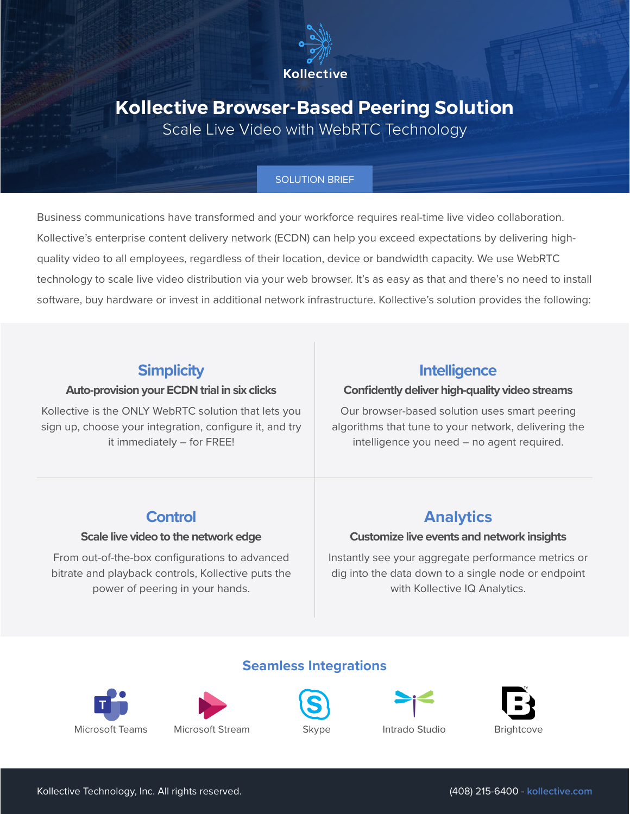

# **Kollective Browser-Based Peering Solution**

Scale Live Video with WebRTC Technology

#### SOLUTION BRIEF

Business communications have transformed and your workforce requires real-time live video collaboration. Kollective's enterprise content delivery network (ECDN) can help you exceed expectations by delivering highquality video to all employees, regardless of their location, device or bandwidth capacity. We use WebRTC technology to scale live video distribution via your web browser. It's as easy as that and there's no need to install software, buy hardware or invest in additional network infrastructure. Kollective's solution provides the following:

### **Simplicity**

#### **Auto-provision your ECDN trial in six clicks**

Kollective is the ONLY WebRTC solution that lets you sign up, choose your integration, configure it, and try it immediately – for FREE!

### **Intelligence**

#### **Confidently deliver high-quality video streams**

Our browser-based solution uses smart peering algorithms that tune to your network, delivering the intelligence you need – no agent required.

### **Control**

#### **Scale live video to the network edge**

From out-of-the-box configurations to advanced bitrate and playback controls, Kollective puts the power of peering in your hands.

## **Analytics**

#### **Customize live events and network insights**

Instantly see your aggregate performance metrics or dig into the data down to a single node or endpoint with Kollective IQ Analytics.







**Seamless Integrations**